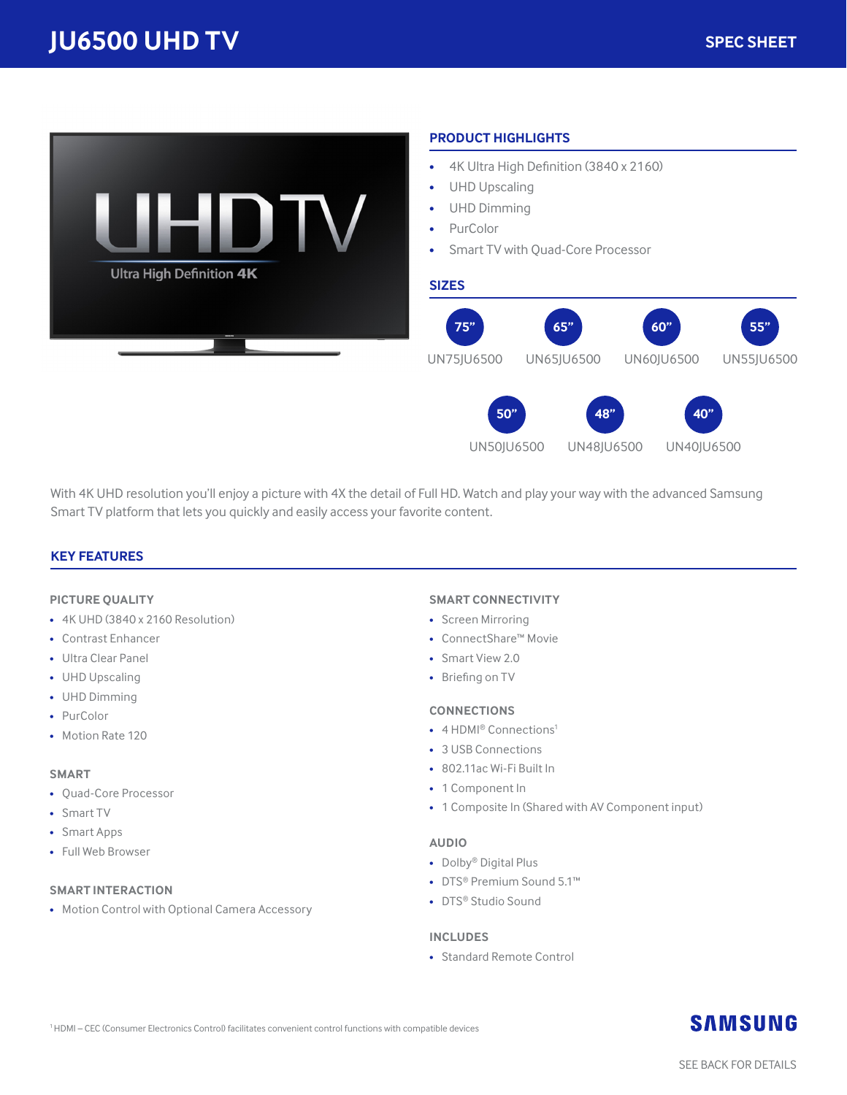

With 4K UHD resolution you'll enjoy a picture with 4X the detail of Full HD. Watch and play your way with the advanced Samsung Smart TV platform that lets you quickly and easily access your favorite content.

#### **KEY FEATURES**

#### **PICTURE QUALITY**

- 4K UHD (3840 x 2160 Resolution)
- Contrast Enhancer
- Ultra Clear Panel
- UHD Upscaling
- UHD Dimming
- PurColor
- Motion Rate 120

#### **SMART**

- Quad-Core Processor
- Smart TV
- Smart Apps
- Full Web Browser

#### **SMART INTERACTION**

• Motion Control with Optional Camera Accessory

#### **SMART CONNECTIVITY**

- Screen Mirroring
- ConnectShare™ Movie
- Smart View 2.0
- Briefing on TV

#### **CONNECTIONS**

- 4 HDMI® Connections<sup>1</sup>
- 3 USB Connections
- 802.11ac Wi-Fi Built In
- 1 Component In
- 1 Composite In (Shared with AV Component input)

#### **AUDIO**

- Dolby® Digital Plus
- DTS® Premium Sound 5.1™
- DTS® Studio Sound

#### **INCLUDES**

• Standard Remote Control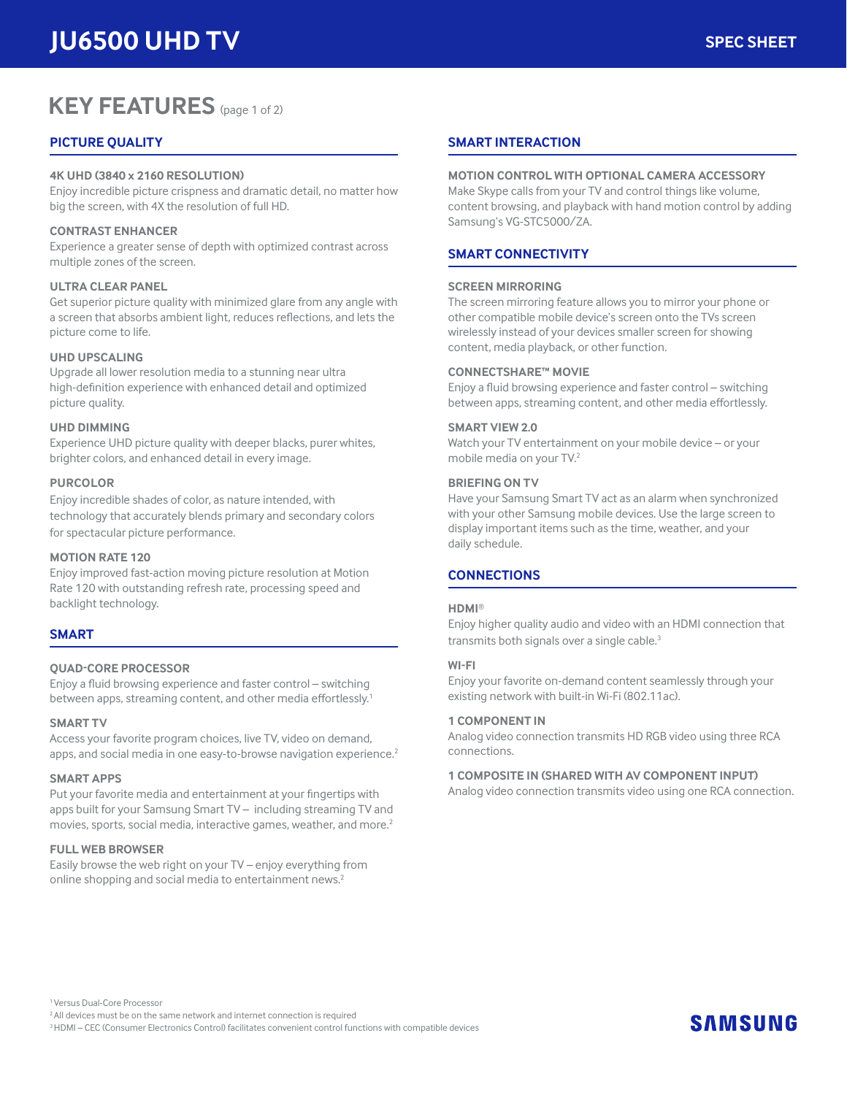# **KEY FEATURES** (page 1 of 2)

#### **PICTURE QUALITY**

#### **4K UHD (3840 x 2160 RESOLUTION)**

Enjoy incredible picture crispness and dramatic detail, no matter how big the screen, with 4X the resolution of full HD.

#### **CONTRAST ENHANCER**

Experience a greater sense of depth with optimized contrast across multiple zones of the screen.

#### **ULTRA CLEAR PANEL**

Get superior picture quality with minimized glare from any angle with a screen that absorbs ambient light, reduces reflections, and lets the picture come to life.

#### **UHD UPSCALING**

Upgrade all lower resolution media to a stunning near ultra high-definition experience with enhanced detail and optimized picture quality.

#### **UHD DIMMING**

Experience UHD picture quality with deeper blacks, purer whites, brighter colors, and enhanced detail in every image.

#### **PURCOLOR**

Enjoy incredible shades of color, as nature intended, with technology that accurately blends primary and secondary colors for spectacular picture performance.

#### **MOTION RATE 120**

Enjoy improved fast-action moving picture resolution at Motion Rate 120 with outstanding refresh rate, processing speed and backlight technology.

#### **SMART**

#### **QUAD-CORE PROCESSOR**

Enjoy a fluid browsing experience and faster control – switching between apps, streaming content, and other media effortlessly.<sup>1</sup>

#### **SMART TV**

Access your favorite program choices, live TV, video on demand, apps, and social media in one easy-to-browse navigation experience.<sup>2</sup>

#### **SMART APPS**

Put your favorite media and entertainment at your fingertips with apps built for your Samsung Smart TV – including streaming TV and movies, sports, social media, interactive games, weather, and more.<sup>2</sup>

#### **FULL WEB BROWSER**

Easily browse the web right on your TV – enjoy everything from online shopping and social media to entertainment news.<sup>2</sup>

#### **SMART INTERACTION**

#### **MOTION CONTROL WITH OPTIONAL CAMERA ACCESSORY**

Make Skype calls from your TV and control things like volume, content browsing, and playback with hand motion control by adding Samsung's VG-STC5000/ZA.

#### **SMART CONNECTIVITY**

#### **SCREEN MIRRORING**

The screen mirroring feature allows you to mirror your phone or other compatible mobile device's screen onto the TVs screen wirelessly instead of your devices smaller screen for showing content, media playback, or other function.

#### **CONNECTSHARE™ MOVIE**

Enjoy a fluid browsing experience and faster control – switching between apps, streaming content, and other media effortlessly.

#### **SMART VIEW 2.0**

Watch your TV entertainment on your mobile device – or your mobile media on your TV.2

#### **BRIEFING ON TV**

Have your Samsung Smart TV act as an alarm when synchronized with your other Samsung mobile devices. Use the large screen to display important items such as the time, weather, and your daily schedule.

#### **CONNECTIONS**

#### **HDMI**®

Enjoy higher quality audio and video with an HDMI connection that transmits both signals over a single cable.<sup>3</sup>

#### **WI-FI**

Enjoy your favorite on-demand content seamlessly through your existing network with built-in Wi-Fi (802.11ac).

#### **1 COMPONENT IN**

Analog video connection transmits HD RGB video using three RCA connections.

#### **1 COMPOSITE IN (SHARED WITH AV COMPONENT INPUT)**

Analog video connection transmits video using one RCA connection.

1 Versus Dual-Core Processor 2 All devices must be on the same network and internet connection is required 3 HDMI – CEC (Consumer Electronics Control) facilitates convenient control functions with compatible devices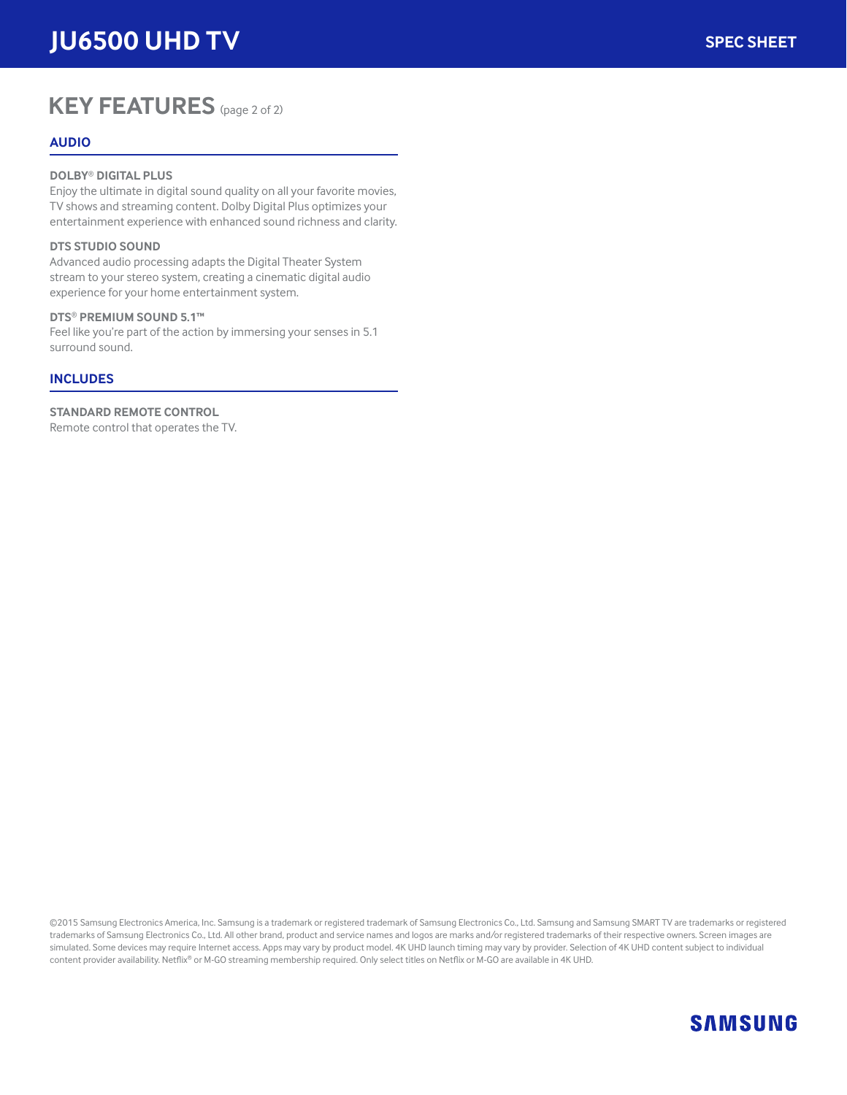# **KEY FEATURES** (page 2 of 2)

#### **AUDIO**

#### **DOLBY**® **DIGITAL PLUS**

Enjoy the ultimate in digital sound quality on all your favorite movies, TV shows and streaming content. Dolby Digital Plus optimizes your entertainment experience with enhanced sound richness and clarity.

#### **DTS STUDIO SOUND**

Advanced audio processing adapts the Digital Theater System stream to your stereo system, creating a cinematic digital audio experience for your home entertainment system.

#### **DTS**® **PREMIUM SOUND 5.1™**

Feel like you're part of the action by immersing your senses in 5.1 surround sound.

#### **INCLUDES**

**STANDARD REMOTE CONTROL** Remote control that operates the TV.

©2015 Samsung Electronics America, Inc. Samsung is a trademark or registered trademark of Samsung Electronics Co., Ltd. Samsung and Samsung SMART TV are trademarks or registered trademarks of Samsung Electronics Co., Ltd. All other brand, product and service names and logos are marks and/or registered trademarks of their respective owners. Screen images are simulated. Some devices may require Internet access. Apps may vary by product model. 4K UHD launch timing may vary by provider. Selection of 4K UHD content subject to individual content provider availability. Netflix® or M-GO streaming membership required. Only select titles on Netflix or M-GO are available in 4K UHD.

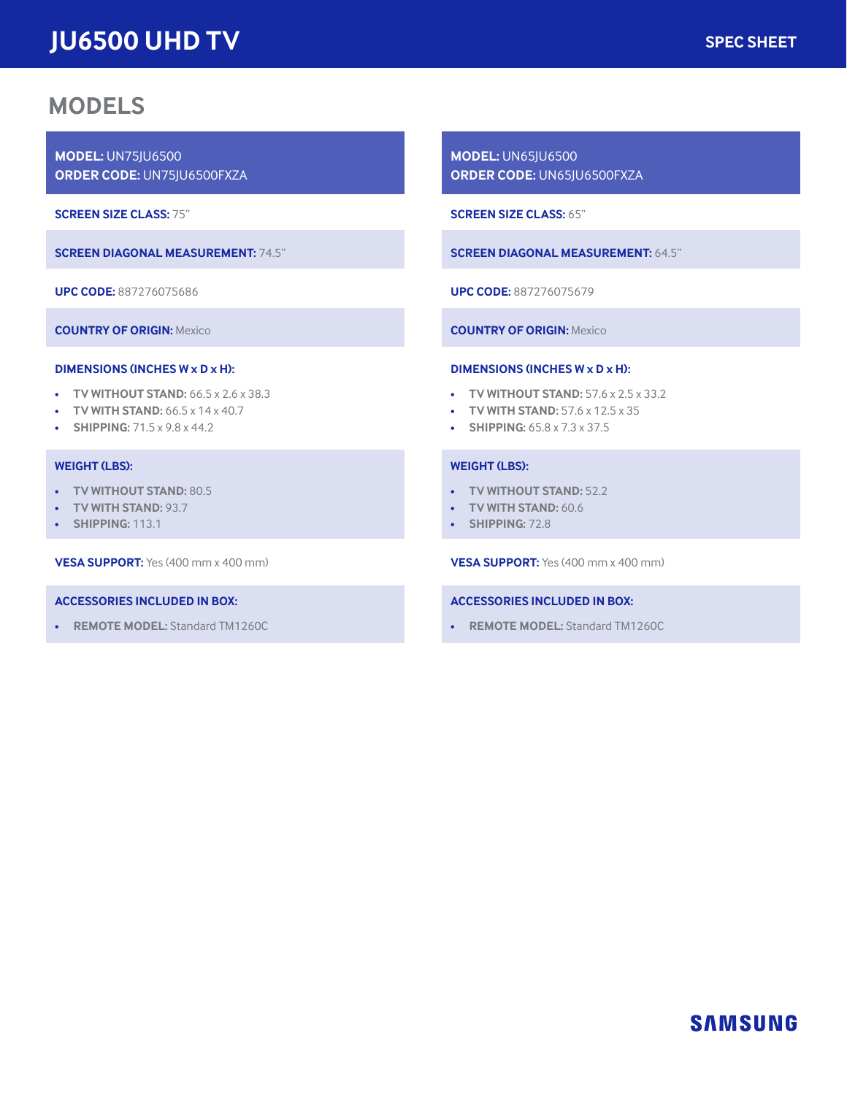## **MODELS**

**MODEL:** UN75JU6500 **ORDER CODE:** UN75JU6500FXZA

**SCREEN SIZE CLASS:** 75"

**SCREEN DIAGONAL MEASUREMENT:** 74.5"

**UPC CODE:** 887276075686

**COUNTRY OF ORIGIN:** Mexico

#### **DIMENSIONS (INCHES W x D x H):**

- **TV WITHOUT STAND:** 66.5 x 2.6 x 38.3
- **TV WITH STAND:** 66.5 x 14 x 40.7
- **SHIPPING:** 71.5 x 9.8 x 44.2

#### **WEIGHT (LBS):**

- **TV WITHOUT STAND:** 80.5
- **TV WITH STAND:** 93.7
- **SHIPPING:** 113.1

**VESA SUPPORT:** Yes (400 mm x 400 mm)

#### **ACCESSORIES INCLUDED IN BOX:**

• **REMOTE MODEL:** Standard TM1260C

**MODEL:** UN65JU6500 **ORDER CODE:** UN65JU6500FXZA

**SCREEN SIZE CLASS:** 65"

**SCREEN DIAGONAL MEASUREMENT:** 64.5"

**UPC CODE:** 887276075679

**COUNTRY OF ORIGIN:** Mexico

#### **DIMENSIONS (INCHES W x D x H):**

- **TV WITHOUT STAND:** 57.6 x 2.5 x 33.2
- **TV WITH STAND:** 57.6 x 12.5 x 35
- **SHIPPING:** 65.8 x 7.3 x 37.5

#### **WEIGHT (LBS):**

- **TV WITHOUT STAND:** 52.2
- **TV WITH STAND:** 60.6
- **SHIPPING:** 72.8

**VESA SUPPORT:** Yes (400 mm x 400 mm)

#### **ACCESSORIES INCLUDED IN BOX:**

• **REMOTE MODEL:** Standard TM1260C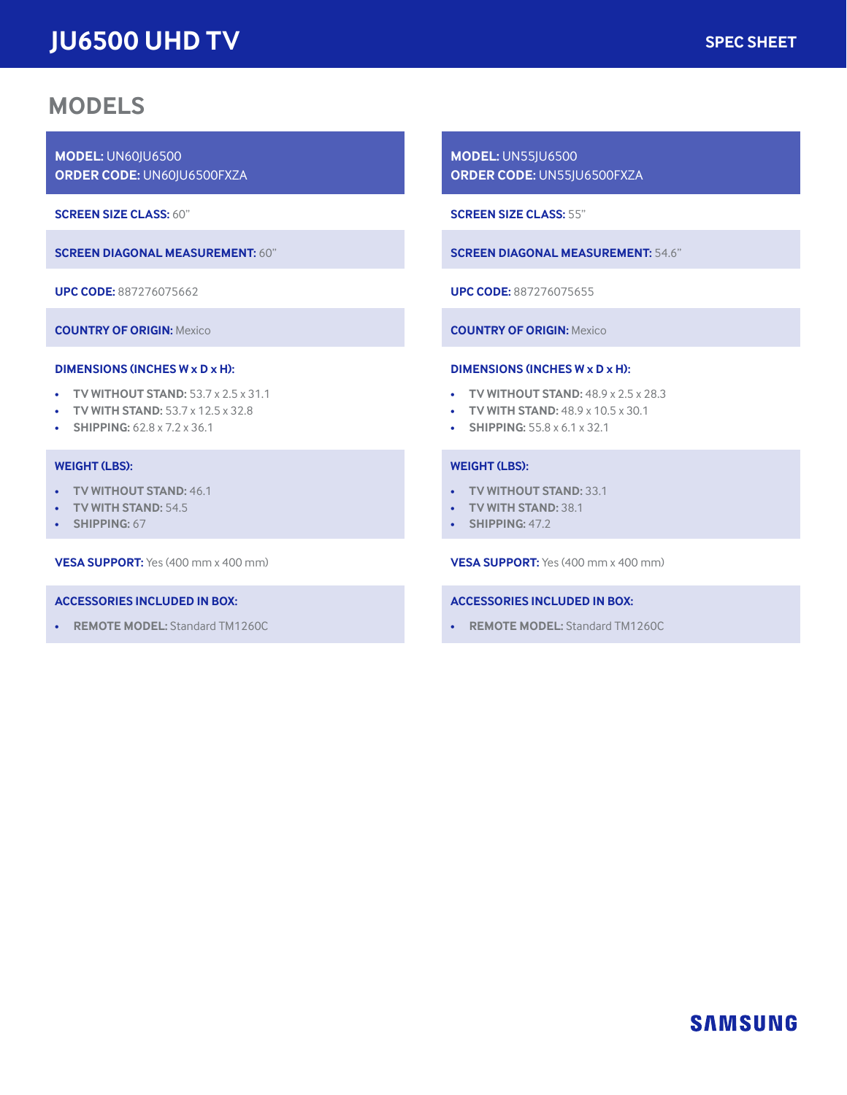## **MODELS**

**MODEL:** UN60JU6500 **ORDER CODE:** UN60JU6500FXZA

**SCREEN SIZE CLASS:** 60"

**SCREEN DIAGONAL MEASUREMENT:** 60"

**UPC CODE:** 887276075662

**COUNTRY OF ORIGIN:** Mexico

#### **DIMENSIONS (INCHES W x D x H):**

- **TV WITHOUT STAND:** 53.7 x 2.5 x 31.1
- **TV WITH STAND:** 53.7 x 12.5 x 32.8
- **SHIPPING:** 62.8 x 7.2 x 36.1

#### **WEIGHT (LBS):**

- **TV WITHOUT STAND:** 46.1
- **TV WITH STAND:** 54.5
- **SHIPPING:** 67

**VESA SUPPORT:** Yes (400 mm x 400 mm)

#### **ACCESSORIES INCLUDED IN BOX:**

• **REMOTE MODEL:** Standard TM1260C

**MODEL:** UN55JU6500 **ORDER CODE:** UN55JU6500FXZA

**SCREEN SIZE CLASS:** 55"

**SCREEN DIAGONAL MEASUREMENT:** 54.6"

**UPC CODE:** 887276075655

**COUNTRY OF ORIGIN:** Mexico

#### **DIMENSIONS (INCHES W x D x H):**

- **TV WITHOUT STAND:** 48.9 x 2.5 x 28.3
- **TV WITH STAND:** 48.9 x 10.5 x 30.1
- **SHIPPING:** 55.8 x 6.1 x 32.1

#### **WEIGHT (LBS):**

- **TV WITHOUT STAND:** 33.1
- **TV WITH STAND:** 38.1
- **SHIPPING:** 47.2

**VESA SUPPORT:** Yes (400 mm x 400 mm)

#### **ACCESSORIES INCLUDED IN BOX:**

• **REMOTE MODEL:** Standard TM1260C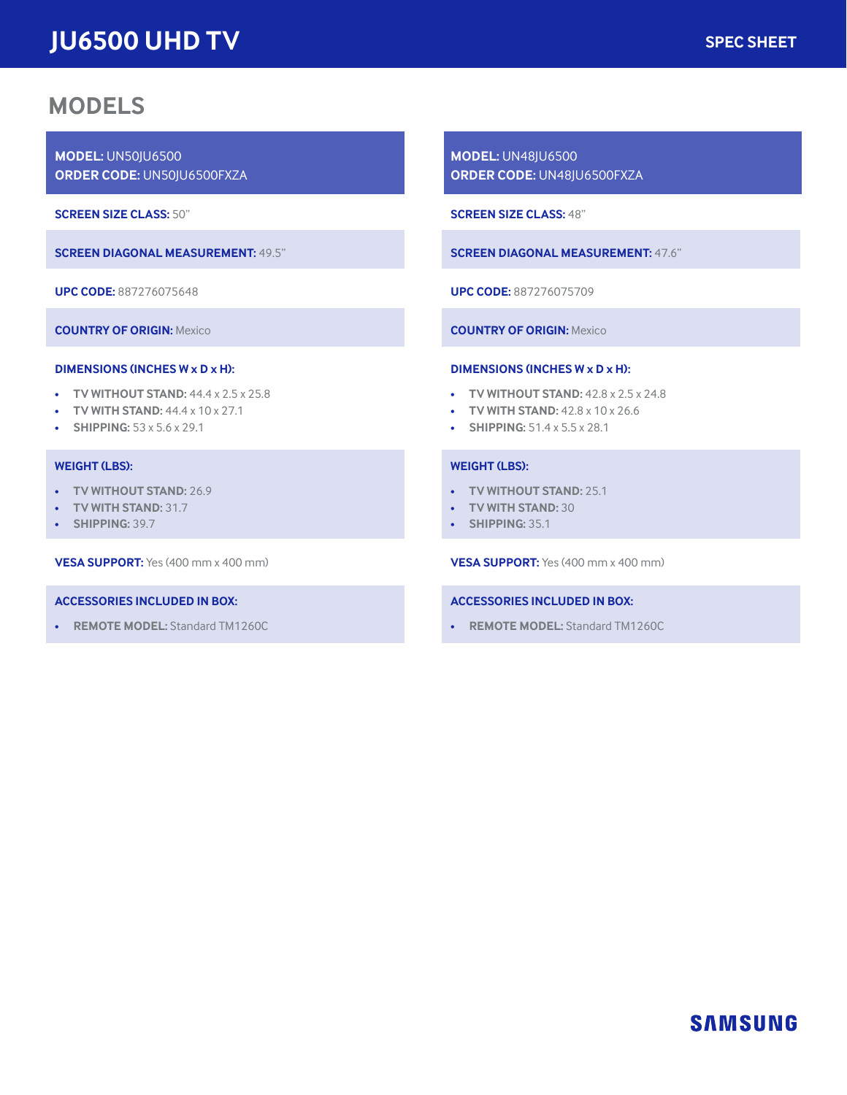## **MODELS**

**MODEL:** UN50JU6500 **ORDER CODE:** UN50JU6500FXZA

**SCREEN SIZE CLASS:** 50"

**SCREEN DIAGONAL MEASUREMENT:** 49.5"

**UPC CODE:** 887276075648

**COUNTRY OF ORIGIN:** Mexico

#### **DIMENSIONS (INCHES W x D x H):**

- **TV WITHOUT STAND:** 44.4 x 2.5 x 25.8
- **TV WITH STAND:** 44.4 x 10 x 27.1
- **SHIPPING:** 53 x 5.6 x 29.1

#### **WEIGHT (LBS):**

- **TV WITHOUT STAND:** 26.9
- **TV WITH STAND:** 31.7
- **SHIPPING:** 39.7

**VESA SUPPORT:** Yes (400 mm x 400 mm)

#### **ACCESSORIES INCLUDED IN BOX:**

• **REMOTE MODEL:** Standard TM1260C

**MODEL:** UN48JU6500 **ORDER CODE:** UN48JU6500FXZA

**SCREEN SIZE CLASS:** 48"

**SCREEN DIAGONAL MEASUREMENT:** 47.6"

**UPC CODE:** 887276075709

**COUNTRY OF ORIGIN:** Mexico

#### **DIMENSIONS (INCHES W x D x H):**

- **TV WITHOUT STAND:** 42.8 x 2.5 x 24.8
- **TV WITH STAND:** 42.8 x 10 x 26.6
- **SHIPPING:** 51.4 x 5.5 x 28.1

#### **WEIGHT (LBS):**

- **TV WITHOUT STAND:** 25.1
- **TV WITH STAND:** 30
- **SHIPPING:** 35.1

**VESA SUPPORT:** Yes (400 mm x 400 mm)

#### **ACCESSORIES INCLUDED IN BOX:**

• **REMOTE MODEL:** Standard TM1260C